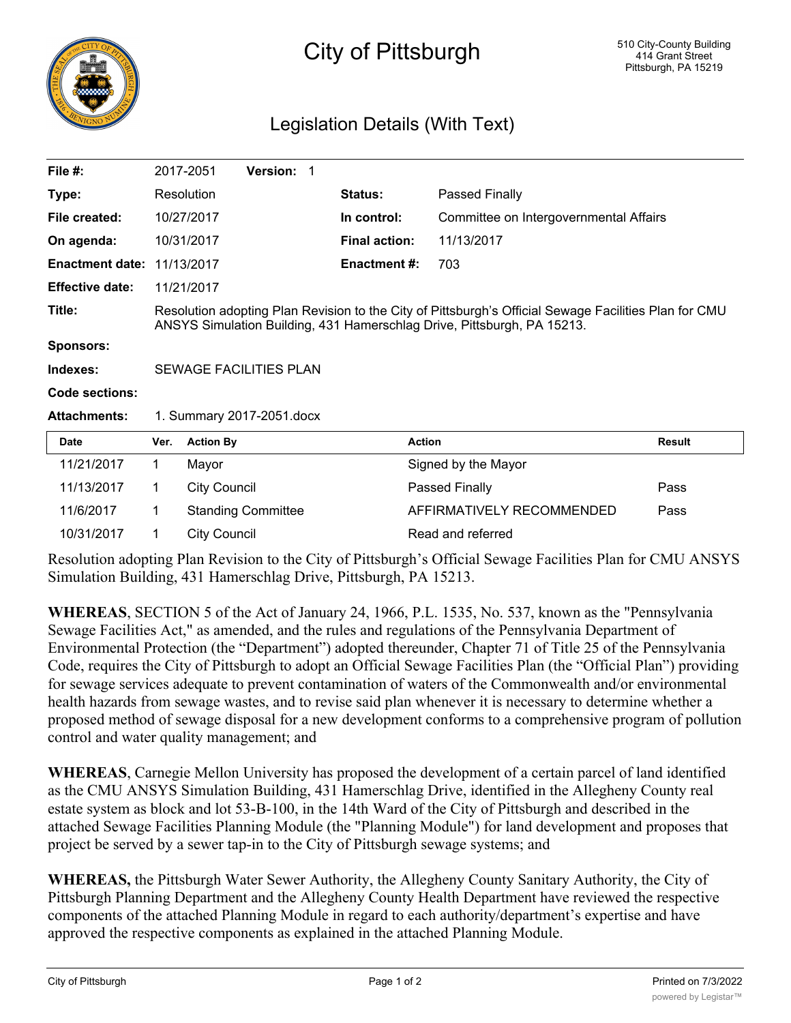

## City of Pittsburgh

## Legislation Details (With Text)

| File $#$ :             |                                                                                                                                                                                  | 2017-2051           | <b>Version: 1</b>         |  |                      |                                        |               |
|------------------------|----------------------------------------------------------------------------------------------------------------------------------------------------------------------------------|---------------------|---------------------------|--|----------------------|----------------------------------------|---------------|
| Type:                  |                                                                                                                                                                                  | Resolution          |                           |  | <b>Status:</b>       | Passed Finally                         |               |
| File created:          |                                                                                                                                                                                  | 10/27/2017          |                           |  | In control:          | Committee on Intergovernmental Affairs |               |
| On agenda:             |                                                                                                                                                                                  | 10/31/2017          |                           |  | <b>Final action:</b> | 11/13/2017                             |               |
| <b>Enactment date:</b> |                                                                                                                                                                                  | 11/13/2017          |                           |  | <b>Enactment #:</b>  | 703                                    |               |
| <b>Effective date:</b> |                                                                                                                                                                                  | 11/21/2017          |                           |  |                      |                                        |               |
| Title:                 | Resolution adopting Plan Revision to the City of Pittsburgh's Official Sewage Facilities Plan for CMU<br>ANSYS Simulation Building, 431 Hamerschlag Drive, Pittsburgh, PA 15213. |                     |                           |  |                      |                                        |               |
| <b>Sponsors:</b>       |                                                                                                                                                                                  |                     |                           |  |                      |                                        |               |
| Indexes:               | <b>SEWAGE FACILITIES PLAN</b>                                                                                                                                                    |                     |                           |  |                      |                                        |               |
| Code sections:         |                                                                                                                                                                                  |                     |                           |  |                      |                                        |               |
| <b>Attachments:</b>    | 1. Summary 2017-2051.docx                                                                                                                                                        |                     |                           |  |                      |                                        |               |
| <b>Date</b>            | Ver.                                                                                                                                                                             | <b>Action By</b>    |                           |  |                      | <b>Action</b>                          | <b>Result</b> |
| 11/21/2017             | 1.                                                                                                                                                                               | Mayor               |                           |  |                      | Signed by the Mayor                    |               |
| 11/13/2017             | 1.                                                                                                                                                                               | <b>City Council</b> |                           |  |                      | Passed Finally                         | Pass          |
| 11/6/2017              | 1                                                                                                                                                                                |                     | <b>Standing Committee</b> |  |                      | AFFIRMATIVELY RECOMMENDED              | Pass          |
| 10/31/2017             | 1                                                                                                                                                                                | <b>City Council</b> |                           |  |                      | Read and referred                      |               |

Resolution adopting Plan Revision to the City of Pittsburgh's Official Sewage Facilities Plan for CMU ANSYS Simulation Building, 431 Hamerschlag Drive, Pittsburgh, PA 15213.

**WHEREAS**, SECTION 5 of the Act of January 24, 1966, P.L. 1535, No. 537, known as the "Pennsylvania Sewage Facilities Act," as amended, and the rules and regulations of the Pennsylvania Department of Environmental Protection (the "Department") adopted thereunder, Chapter 71 of Title 25 of the Pennsylvania Code, requires the City of Pittsburgh to adopt an Official Sewage Facilities Plan (the "Official Plan") providing for sewage services adequate to prevent contamination of waters of the Commonwealth and/or environmental health hazards from sewage wastes, and to revise said plan whenever it is necessary to determine whether a proposed method of sewage disposal for a new development conforms to a comprehensive program of pollution control and water quality management; and

**WHEREAS**, Carnegie Mellon University has proposed the development of a certain parcel of land identified as the CMU ANSYS Simulation Building, 431 Hamerschlag Drive, identified in the Allegheny County real estate system as block and lot 53-B-100, in the 14th Ward of the City of Pittsburgh and described in the attached Sewage Facilities Planning Module (the "Planning Module") for land development and proposes that project be served by a sewer tap-in to the City of Pittsburgh sewage systems; and

**WHEREAS,** the Pittsburgh Water Sewer Authority, the Allegheny County Sanitary Authority, the City of Pittsburgh Planning Department and the Allegheny County Health Department have reviewed the respective components of the attached Planning Module in regard to each authority/department's expertise and have approved the respective components as explained in the attached Planning Module.